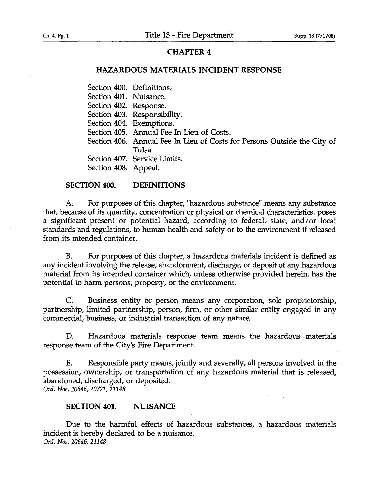# CHAPTER 4

## HAZARDOUS MATERIALS INCIDENT RESPONSE

Section 400. Definitions.

Section 401. Nuisance.

Section 402. Response.

Section 403. Responsibility.

Section 404. Exemptions.

Section 405. Annual Fee In Lieu of Costs.

Section 406. Annual Fee In Lieu of Costs for Persons Outside the City of Tulsa

Section 407. Service Limits.

Section 408. Appeal.

### SECTION 400. DEFINITIONS

A. For purposes of this chapter, "hazardous substance" means any substance that, because of its quantity, concentration or physical or chemical characteristics, poses a significant present or potential hazard, according to federal, state, and/or local standards and regulations, to human health and safety or to the environment if released from. its intended container.

B. For purposes of this chapter, a hazardous materials incident is defined as any incident involving the release, abandonment, discharge, or deposit of any hazardous material from its intended container which, unless otherwise provided herein, has the potential to harm persons, property, or the environment.

C. Business entity or person means any corporation, sole proprietorship, partnership, limited partnership, person, firm, Or other similar entity engaged in any commercial, business, or industrial transaction of any nature.

D. Hazardous materials response team means the hazardous materials response team of the City's Fire Department.

E. Responsible party means, jointly and severally, all personsinvolved in the possession, ownership, or transportation of any hazardous material that is released, abandoned, discharged, or deposited.

*Ord. Nos. 20646, 20721, 21148*

## SECTION 401. NUISANCE

Due to the harmful effects of hazardous substances, a hazardous materials incident is hereby declared to be a nuisance. *Ord. Nos. 20646; 21148*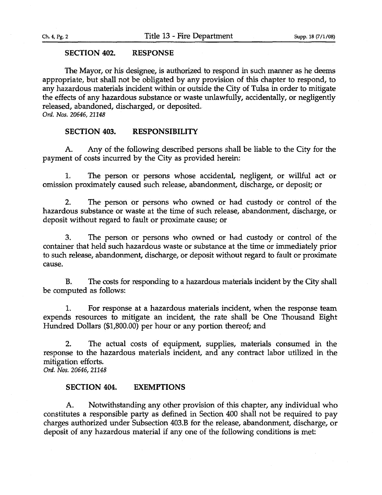### Ch. 4, Pg. 2

#### SECTION 402. RESPONSE

The Mayor, or his designee, is authorized to respond in such manner as he deems appropriate, but shall not be obligated by any provision of this chapter to respond, to any hazardous materials incident within or outside the City of Tulsa in order to mitigate the effects of any hazardous substance or waste unlawfully, accidentally, or negligently released, abandoned, discharged, or deposited.

*C>rd. 1Vos. 20646,21148*

### SECTION 403. RESPONSIBILITY

A. Any of the following described persons shall be liable to the City for the payment of costs incurred by the City as provided herein:

1. The person or persons whose accidental, negligent, or willful act or omission proximately caused such release, abandonment, discharge, or deposit; or

2. The person or persons who owned or had. custody or control of the hazardous substance or waste at the time of such release, abandonment, discharge, or deposit without regard to fault or proximate cause; or

3. The person or persons who owned or had custody or control of the container that held such hazardous waste or substance at the time or immediately prior to such release, abandonment, discharge, or deposit without regard to faultor proximate cause.

B. The costs for responding to a hazardous materials incident by the City shall be computed as follows:

1. For response at a hazardous materials incident, when the response team expends. resources to mitigate an incident, the rate shall be One Thousand Eight Hundred Dollars (\$1,800.00) per hour or any portion thereof; and

2. The actual costs of equipment, supplies, materials consumed in the response to the hazardous materials incident, and any contract labor utilized in the mitigation efforts. *C>rd. 1Vos. 20646, 41148*

### SECTION 404. EXEMPTIONS

A. Notwithstanding any other provision of this chapter, any individual who constitutes a responsible party as defined in Section 400 shall not be required to pay charges authorized under Subsection 403.B for the release, abandonment, discharge, or deposit of any hazardous material if any one of the following conditions is met: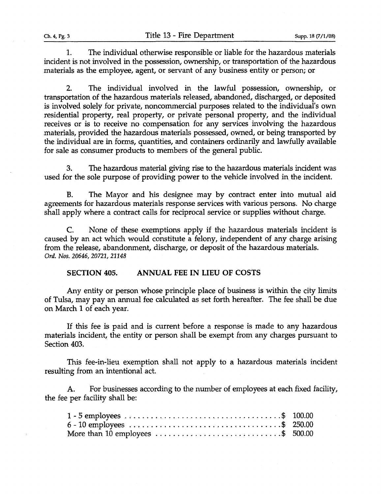1. The individual otherwise responsible or liable for the hazardous materials incident is not involved in the possession, ownership, or transportation of the hazardous materials as the employee, agent, or servant of any business entity or person; or

2. The individual involved in the lawful possession, ownership, or transportation of the hazardous materials released, abandoned, discharged, or deposited is involved solely for private, noncommercial purposes related to the individual's own residential property, real property, or private personal property, and the individual receives or is to receive no compensation for any services involving the hazardous materials, provided the hazardous materials possessed, owned, or being transported by the individual are in forms, quantities, and containers ordinarily and lawfully available for sale as consumer products to members of the general public.

3. The hazardous material giving rise to the hazardous materials incident was used for the sole purpose of providing power to the vehicle involved in the incident.

B. The Mayor and his designee may by contract enter into mutual aid agreements for hazardous materials response services with various persons. No charge shall apply where a contract calls for reciprocal service or supplies without charge.

C. None of these exemptions apply if the hazardous materials incident is caused by an act which would constitute a felony, independent of any charge arising from the release, abandonment, discharge, or deposit of the hazardous materials. *Ord. Nos.20646, 20721, 21148*

**SECTION** 405. **ANNUAL** FEE **IN LIEU OF COSTS**

Any entity or person whose principle place of business is within the city limits of Tulsa, may pay an annual fee calculated as set forth hereafter. The fee shall be due on March 1 of each year.

If this fee is paid and is current before a response is made to any hazardous materials incident, the entity or person shall be exempt from any charges pursuant to Section 403.

This fee-in-lieu exemption shall not apply to a hazardous materials incident resulting from an intentional act.

A. For businesses according to the number of employees at each fixed facility, the fee per facility shall be:

| $1 - 5$ employees $\ldots \ldots \ldots \ldots \ldots \ldots \ldots \ldots \ldots \ldots \qquad 100.00$ |  |
|---------------------------------------------------------------------------------------------------------|--|
|                                                                                                         |  |
| More than 10 employees $\ldots \ldots \ldots \ldots \ldots \ldots \ldots \ldots$ \$ 500.00              |  |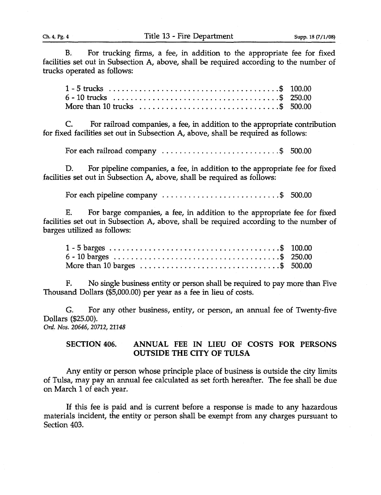B. For trucking firms, a fee, in addition to the appropriate fee for fixed facilities set out in Subsection A, above, shall be required according to the number of trucks operated as follows:

| More than 10 trucks $\ldots \ldots \ldots \ldots \ldots \ldots \ldots$ |  |  |  |  |  |  |  |  |  |  |  |  |  |
|------------------------------------------------------------------------|--|--|--|--|--|--|--|--|--|--|--|--|--|

C. For railroad companies, a fee, in addition to the appropriate contribution for fixed facilities set out in Subsection A, above, shall be required as follows:

For each railroad company  $\ldots \ldots \ldots \ldots \ldots \ldots \ldots$  5 500.00

D. For pipeline companies, a fee, in addition to the appropriate fee for fixed facilities set out in Subsection A, above, shall be required as follows:

For each pipeline company  $\ldots$   $\ldots$   $\ldots$   $\ldots$   $\ldots$   $\ldots$   $\ldots$   $\ldots$  500.00

E; For barge companies, a fee, in addition to the appropriate fee for fixed facilities set out in Subsection A, above, shall be required according to the number of barges utilized as follows:

F. No single business entity or person shall be required to pay more than Five Thousand Dollars (\$5,000.00) per year as a fee in lieu of costs.

G. For any other business, entity, or person, an annual fee of Twenty-five Dollars (\$25.00). *Ord. Nos. 20646, 20712, 21148*

SECTION 406. ANNUAL FEE IN LIEU OF COSTS FOR PERSONS OUTSIDE THE CITY OF TULSA

Any entity or person whose principle place of business is outside the city limits of Tulsa, may pay an annual fee calculated as set forth hereafter. The fee shall be due on March 1 of each year.

If this fee is paid and is current before a response is made to any hazardous materials incident, the entity or person shall be exempt from any charges pursuant to Section 403.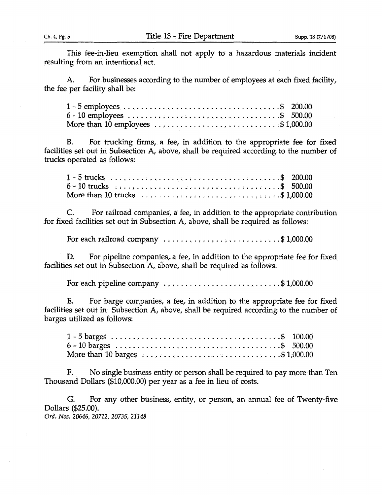This fee-in-lieu exemption shall not apply to a hazardous materials incident resulting from an intentional act.

A. For businesses according to the number of employees at each fixed facility, the fee per facility shall be:

| More than 10 employees $\ldots$ , $\ldots$ , $\ldots$ , $\ldots$ , $\ldots$ , $\$1,000.00$ |  |
|--------------------------------------------------------------------------------------------|--|

B. For trucking firms, a fee, in addition to the appropriate fee for fixed facilities set out in Subsection A, above, shall be required according to the number of trucks operated as follows:

| 6 - 10 trucks $x_1, x_2, x_3, x_4, x_5, x_6, x_7, x_8, x_9, x_1, x_2, x_3, x_4, x_7, x_8$ 500.00               |  |  |  |  |  |  |  |  |  |  |
|----------------------------------------------------------------------------------------------------------------|--|--|--|--|--|--|--|--|--|--|
| More than 10 trucks $\ldots \ldots \ldots \ldots \ldots \ldots \ldots \ldots \ldots \ldots \ldots$ \$ 1,000.00 |  |  |  |  |  |  |  |  |  |  |

C. For railroad companies, a fee, in addition to the appropriate contribution for fixed facilities set out in Subsection A, above, shall be required as follows:

For each railroad company  $\dots \dots \dots \dots \dots \dots \dots \dots \$  \$1,000.00

D. For pipeline companies, a fee, in addition to the appropriate fee for fixed facilities set out in Subsection A, above, shall be required as follows:

For each pipeline company  $\ldots \ldots \ldots \ldots \ldots \ldots \ldots$  \$1,000.00

E. For barge companies, a fee, in addition to the appropriate fee for fixed facilities set out in Subsection A, above, shall be required according to the number of barges utilized as follows:

| More than 10 barges $\ldots$ , $\ldots$ , $\ldots$ , $\ldots$ , $\ldots$ , $\ldots$ , $\ldots$ , $\ldots$ , $\ldots$ , $\ldots$ , $\ldots$ |  |
|--------------------------------------------------------------------------------------------------------------------------------------------|--|

F. No single business entity or person shall be required to pay more than Ten Thousand Dollars (\$10,000.00) per year as a fee in lieu of costs.

G. For any other business, entity, or person, an annual fee of Twenty-five Dollars (\$25.00).

*Ord. Nos. 20646, 20712, 20735, 21148*